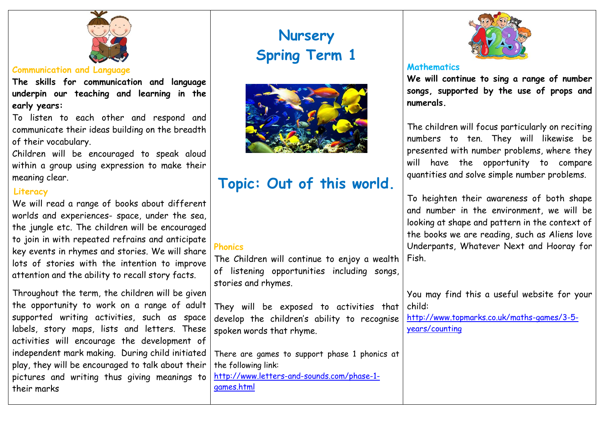

# **Communication and Language**

**The skills for communication and language underpin our teaching and learning in the early years:**

To listen to each other and respond and communicate their ideas building on the breadth of their vocabulary.

Children will be encouraged to speak aloud within a group using expression to make their meaning clear.

# **Literacy**

We will read a range of books about different worlds and experiences- space, under the sea, the jungle etc. The children will be encouraged to join in with repeated refrains and anticipate key events in rhymes and stories. We will share lots of stories with the intention to improve attention and the ability to recall story facts.

Throughout the term, the children will be given the opportunity to work on a range of adult supported writing activities, such as space labels, story maps, lists and letters. These activities will encourage the development of independent mark making. During child initiated play, they will be encouraged to talk about their pictures and writing thus giving meanings to their marks

# **Nursery Spring Term 1**



# **Topic: Out of this world.**

# **Phonics**

The Children will continue to enjoy a wealth of listening opportunities including songs, stories and rhymes.

They will be exposed to activities that develop the children's ability to recognise spoken words that rhyme.

There are games to support phase 1 phonics at the following link: [http://www.letters-and-sounds.com/phase-1](http://www.letters-and-sounds.com/phase-1-games.html) [games.html](http://www.letters-and-sounds.com/phase-1-games.html)



## **Mathematics**

**We will continue to sing a range of number songs, supported by the use of props and numerals.** 

The children will focus particularly on reciting numbers to ten. They will likewise be presented with number problems, where they will have the opportunity to compare quantities and solve simple number problems.

To heighten their awareness of both shape and number in the environment, we will be looking at shape and pattern in the context of the books we are reading, such as Aliens love Underpants, Whatever Next and Hooray for Fish.

You may find this a useful website for your child:

[http://www.topmarks.co.uk/maths-games/3-5](http://www.topmarks.co.uk/maths-games/3-5-years/counting) [years/counting](http://www.topmarks.co.uk/maths-games/3-5-years/counting)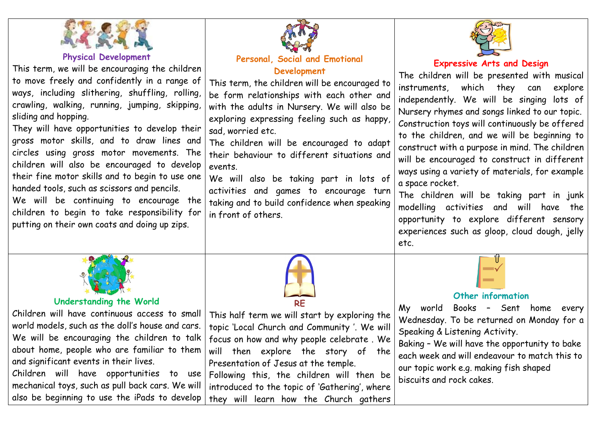

### **Physical Development**

This term, we will be encouraging the children to move freely and confidently in a range of ways, including slithering, shuffling, rolling, crawling, walking, running, jumping, skipping, sliding and hopping.

They will have opportunities to develop their gross motor skills, and to draw lines and circles using gross motor movements. The children will also be encouraged to develop their fine motor skills and to begin to use one handed tools, such as scissors and pencils.

We will be continuing to encourage the children to begin to take responsibility for putting on their own coats and doing up zips.



## **Personal, Social and Emotional Development**

This term, the children will be encouraged to be form relationships with each other and with the adults in Nursery. We will also be exploring expressing feeling such as happy, sad, worried etc.

The children will be encouraged to adapt their behaviour to different situations and events.

We will also be taking part in lots of activities and games to encourage turn taking and to build confidence when speaking in front of others.



# **Expressive Arts and Design**

The children will be presented with musical instruments, which they can explore independently. We will be singing lots of Nursery rhymes and songs linked to our topic. Construction toys will continuously be offered to the children, and we will be beginning to construct with a purpose in mind. The children will be encouraged to construct in different ways using a variety of materials, for example a space rocket.

The children will be taking part in junk modelling activities and will have the opportunity to explore different sensory experiences such as gloop, cloud dough, jelly etc.



# **Understanding the World**

Children will have continuous access to small world models, such as the doll's house and cars. We will be encouraging the children to talk about home, people who are familiar to them and significant events in their lives. Children will have opportunities to use

mechanical toys, such as pull back cars. We will also be beginning to use the iPads to develop

**RE** This half term we will start by exploring the topic 'Local Church and Community '. We will focus on how and why people celebrate . We will then explore the story of the Presentation of Jesus at the temple. Following this, the children will then be introduced to the topic of 'Gathering', where they will learn how the Church gathers

# **Other information**

My world Books – Sent home every Wednesday. To be returned on Monday for a Speaking & Listening Activity.

Baking – We will have the opportunity to bake each week and will endeavour to match this to our topic work e.g. making fish shaped biscuits and rock cakes.